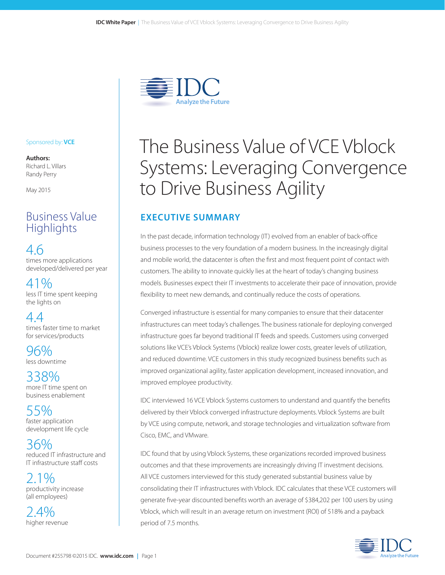

#### Sponsored by: **VCE**

**Authors:** Richard L. Villars Randy Perry

May 2015

# Business Value **Highlights**

4.6 times more applications developed/delivered per year

41% less IT time spent keeping the lights on

4.4 times faster time to market for services/products

96% less downtime

338% more IT time spent on business enablement

55% faster application development life cycle

36% reduced IT infrastructure and IT infrastructure staff costs

2.1% productivity increase (all employees)

 $2.4\%$ higher revenue

# The Business Value of VCE Vblock Systems: Leveraging Convergence to Drive Business Agility

## **EXECUTIVE SUMMARY**

In the past decade, information technology (IT) evolved from an enabler of back-office business processes to the very foundation of a modern business. In the increasingly digital and mobile world, the datacenter is often the first and most frequent point of contact with customers. The ability to innovate quickly lies at the heart of today's changing business models. Businesses expect their IT investments to accelerate their pace of innovation, provide flexibility to meet new demands, and continually reduce the costs of operations.

Converged infrastructure is essential for many companies to ensure that their datacenter infrastructures can meet today's challenges. The business rationale for deploying converged infrastructure goes far beyond traditional IT feeds and speeds. Customers using converged solutions like VCE's Vblock Systems (Vblock) realize lower costs, greater levels of utilization, and reduced downtime. VCE customers in this study recognized business benefits such as improved organizational agility, faster application development, increased innovation, and improved employee productivity.

IDC interviewed 16 VCE Vblock Systems customers to understand and quantify the benefits delivered by their Vblock converged infrastructure deployments. Vblock Systems are built by VCE using compute, network, and storage technologies and virtualization software from Cisco, EMC, and VMware.

IDC found that by using Vblock Systems, these organizations recorded improved business outcomes and that these improvements are increasingly driving IT investment decisions. All VCE customers interviewed for this study generated substantial business value by consolidating their IT infrastructures with Vblock. IDC calculates that these VCE customers will generate five-year discounted benefits worth an average of \$384,202 per 100 users by using Vblock, which will result in an average return on investment (ROI) of 518% and a payback period of 7.5 months.

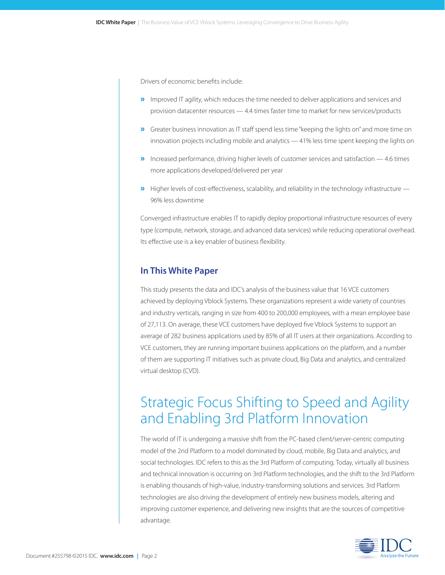Drivers of economic benefits include:

- **»** Improved IT agility, which reduces the time needed to deliver applications and services and provision datacenter resources — 4.4 times faster time to market for new services/products
- »Greater business innovation as IT staff spend less time "keeping the lights on" and more time on innovation projects including mobile and analytics — 41% less time spent keeping the lights on
- »Increased performance, driving higher levels of customer services and satisfaction 4.6 times more applications developed/delivered per year
- »Higher levels of cost-effectiveness, scalability, and reliability in the technology infrastructure 96% less downtime

Converged infrastructure enables IT to rapidly deploy proportional infrastructure resources of every type (compute, network, storage, and advanced data services) while reducing operational overhead. Its effective use is a key enabler of business flexibility.

### **In This White Paper**

This study presents the data and IDC's analysis of the business value that 16 VCE customers achieved by deploying Vblock Systems. These organizations represent a wide variety of countries and industry verticals, ranging in size from 400 to 200,000 employees, with a mean employee base of 27,113. On average, these VCE customers have deployed five Vblock Systems to support an average of 282 business applications used by 85% of all IT users at their organizations. According to VCE customers, they are running important business applications on the platform, and a number of them are supporting IT initiatives such as private cloud, Big Data and analytics, and centralized virtual desktop (CVD).

# Strategic Focus Shifting to Speed and Agility and Enabling 3rd Platform Innovation

The world of IT is undergoing a massive shift from the PC-based client/server-centric computing model of the 2nd Platform to a model dominated by cloud, mobile, Big Data and analytics, and social technologies. IDC refers to this as the 3rd Platform of computing. Today, virtually all business and technical innovation is occurring on 3rd Platform technologies, and the shift to the 3rd Platform is enabling thousands of high-value, industry-transforming solutions and services. 3rd Platform technologies are also driving the development of entirely new business models, altering and improving customer experience, and delivering new insights that are the sources of competitive advantage.

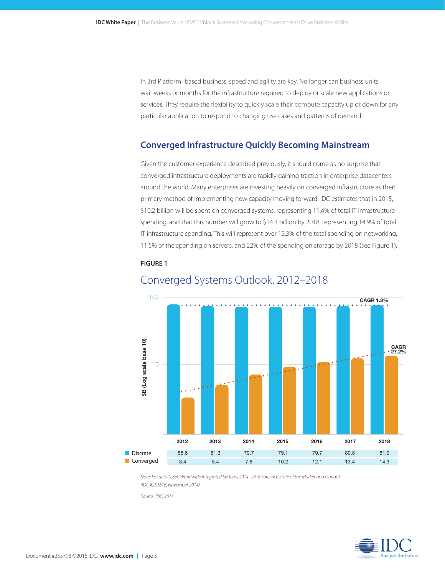In 3rd Platform–based business, speed and agility are key. No longer can business units wait weeks or months for the infrastructure required to deploy or scale new applications or services. They require the flexibility to quickly scale their compute capacity up or down for any particular application to respond to changing use cases and patterns of demand.

### **Converged Infrastructure Quickly Becoming Mainstream**

Given the customer experience described previously, it should come as no surprise that converged infrastructure deployments are rapidly gaining traction in enterprise datacenters around the world. Many enterprises are investing heavily on converged infrastructure as their primary method of implementing new capacity moving forward. IDC estimates that in 2015, \$10.2 billion will be spent on converged systems, representing 11.4% of total IT infrastructure spending, and that this number will grow to \$14.3 billion by 2018, representing 14.9% of total IT infrastructure spending. This will represent over 12.3% of the total spending on networking, 11.5% of the spending on servers, and 22% of the spending on storage by 2018 (see Figure 1).

#### **FIGURE 1**



### Converged Systems Outlook, 2012–2018

*Note: For details, see Worldwide Integrated Systems 2014–2018 Forecast: State of the Market and Outlook (IDC #252616, November 2014).*

*Source: IDC, 2014*

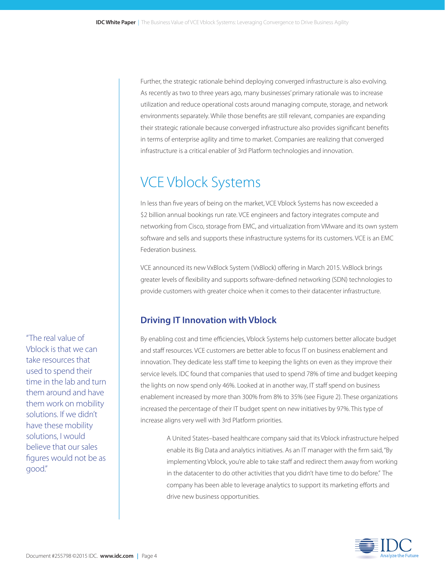Further, the strategic rationale behind deploying converged infrastructure is also evolving. As recently as two to three years ago, many businesses' primary rationale was to increase utilization and reduce operational costs around managing compute, storage, and network environments separately. While those benefits are still relevant, companies are expanding their strategic rationale because converged infrastructure also provides significant benefits in terms of enterprise agility and time to market. Companies are realizing that converged infrastructure is a critical enabler of 3rd Platform technologies and innovation.

# VCE Vblock Systems

In less than five years of being on the market, VCE Vblock Systems has now exceeded a \$2 billion annual bookings run rate. VCE engineers and factory integrates compute and networking from Cisco, storage from EMC, and virtualization from VMware and its own system software and sells and supports these infrastructure systems for its customers. VCE is an EMC Federation business.

VCE announced its new VxBlock System (VxBlock) offering in March 2015. VxBlock brings greater levels of flexibility and supports software-defined networking (SDN) technologies to provide customers with greater choice when it comes to their datacenter infrastructure.

## **Driving IT Innovation with Vblock**

By enabling cost and time efficiencies, Vblock Systems help customers better allocate budget and staff resources. VCE customers are better able to focus IT on business enablement and innovation. They dedicate less staff time to keeping the lights on even as they improve their service levels. IDC found that companies that used to spend 78% of time and budget keeping the lights on now spend only 46%. Looked at in another way, IT staff spend on business enablement increased by more than 300% from 8% to 35% (see Figure 2). These organizations increased the percentage of their IT budget spent on new initiatives by 97%. This type of increase aligns very well with 3rd Platform priorities.

A United States–based healthcare company said that its Vblock infrastructure helped enable its Big Data and analytics initiatives. As an IT manager with the firm said, "By implementing Vblock, you're able to take staff and redirect them away from working in the datacenter to do other activities that you didn't have time to do before." The company has been able to leverage analytics to support its marketing efforts and drive new business opportunities.



"The real value of Vblock is that we can take resources that used to spend their time in the lab and turn them around and have them work on mobility solutions. If we didn't have these mobility solutions, I would believe that our sales figures would not be as good."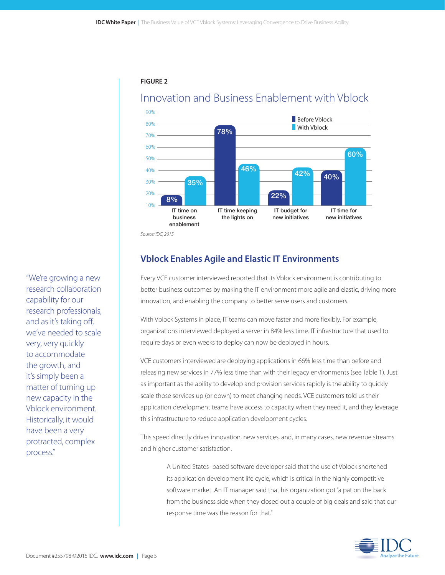

### **FIGURE 2**

Innovation and Business Enablement with Vblock

*Source: IDC, 2015*

## **Vblock Enables Agile and Elastic IT Environments**

Every VCE customer interviewed reported that its Vblock environment is contributing to better business outcomes by making the IT environment more agile and elastic, driving more innovation, and enabling the company to better serve users and customers.

With Vblock Systems in place, IT teams can move faster and more flexibly. For example, organizations interviewed deployed a server in 84% less time. IT infrastructure that used to require days or even weeks to deploy can now be deployed in hours.

VCE customers interviewed are deploying applications in 66% less time than before and releasing new services in 77% less time than with their legacy environments (see Table 1). Just as important as the ability to develop and provision services rapidly is the ability to quickly scale those services up (or down) to meet changing needs. VCE customers told us their application development teams have access to capacity when they need it, and they leverage this infrastructure to reduce application development cycles.

This speed directly drives innovation, new services, and, in many cases, new revenue streams and higher customer satisfaction.

A United States–based software developer said that the use of Vblock shortened its application development life cycle, which is critical in the highly competitive software market. An IT manager said that his organization got "a pat on the back from the business side when they closed out a couple of big deals and said that our response time was the reason for that."



"We're growing a new research collaboration capability for our research professionals, and as it's taking off, we've needed to scale very, very quickly to accommodate the growth, and it's simply been a matter of turning up new capacity in the Vblock environment. Historically, it would have been a very protracted, complex process."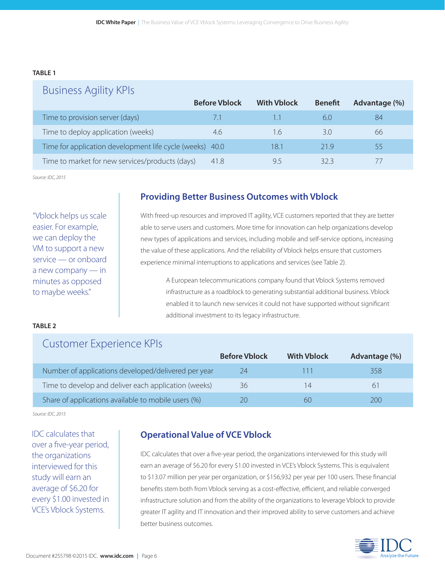### **TABLE 1**

| <b>Business Agility KPIs</b>                             |                      |                    |                |               |
|----------------------------------------------------------|----------------------|--------------------|----------------|---------------|
|                                                          | <b>Before Vblock</b> | <b>With Vblock</b> | <b>Benefit</b> | Advantage (%) |
| Time to provision server (days)                          | 7.1                  |                    | 6.0            | 84            |
| Time to deploy application (weeks)                       | 4.6                  | 1.6                | 3.0            | 66            |
| Time for application development life cycle (weeks) 40.0 |                      | 18.1               | 21.9           | 55            |
| Time to market for new services/products (days)          | 41.8                 | 9.5                | 323            |               |

*Source: IDC, 2015*

"Vblock helps us scale easier. For example, we can deploy the VM to support a new service — or onboard a new company — in minutes as opposed to maybe weeks."

### **Providing Better Business Outcomes with Vblock**

With freed-up resources and improved IT agility, VCE customers reported that they are better able to serve users and customers. More time for innovation can help organizations develop new types of applications and services, including mobile and self-service options, increasing the value of these applications. And the reliability of Vblock helps ensure that customers experience minimal interruptions to applications and services (see Table 2).

A European telecommunications company found that Vblock Systems removed infrastructure as a roadblock to generating substantial additional business. Vblock enabled it to launch new services it could not have supported without significant additional investment to its legacy infrastructure.

#### **TABLE 2**

## Customer Experience KPIs

|                                                      | <b>Before Vblock</b> | <b>With Vblock</b> | Advantage (%) |
|------------------------------------------------------|----------------------|--------------------|---------------|
| Number of applications developed/delivered per year  | 24                   |                    | 358           |
| Time to develop and deliver each application (weeks) | 36                   | 14                 | 61            |
| Share of applications available to mobile users (%)  | 20                   | 60                 | 200           |

*Source: IDC, 2015*

IDC calculates that over a five-year period, the organizations interviewed for this study will earn an average of \$6.20 for every \$1.00 invested in VCE's Vblock Systems.

### **Operational Value of VCE Vblock**

IDC calculates that over a five-year period, the organizations interviewed for this study will earn an average of \$6.20 for every \$1.00 invested in VCE's Vblock Systems. This is equivalent to \$13.07 million per year per organization, or \$156,932 per year per 100 users. These financial benefits stem both from Vblock serving as a cost-effective, efficient, and reliable converged infrastructure solution and from the ability of the organizations to leverage Vblock to provide greater IT agility and IT innovation and their improved ability to serve customers and achieve better business outcomes.

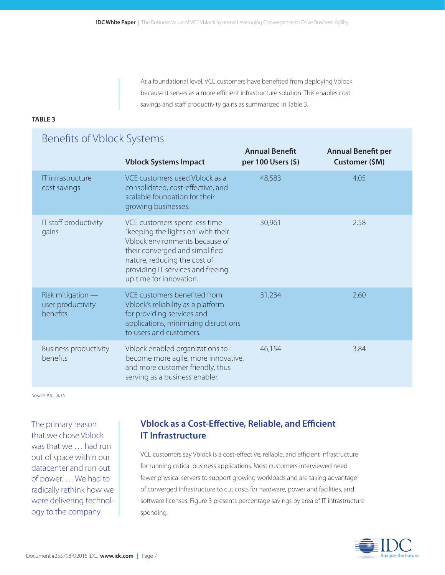At a foundational level, VCE customers have benefited from deploying Vblock because it serves as a more efficient infrastructure solution. This enables cost savings and staff productivity gains as summarized in Table 3.

### **TABLE 3**

### Benefits of Vblock Systems **Annual Benefit Annual Benefit per Vblock Systems Impact per 100 Users (\$) Customer (\$M)** IT infrastructure VCE customers used Vblock as a 48,583 4.05 cost savings consolidated, cost-effective, and scalable foundation for their growing businesses. IT staff productivity VCE customers spent less time 30,961 2.58 gains "keeping the lights on" with their Vblock environments because of their converged and simplified nature, reducing the cost of providing IT services and freeing up time for innovation. Risk mitigation — VCE customers benefited from 31,234 31,234 2.60 user productivity Vblock's reliability as a platform benefits for providing services and applications, minimizing disruptions to users and customers. Business productivity Vblock enabled organizations to 46,154 3.84 benefits become more agile, more innovative, and more customer friendly, thus serving as a business enabler.

*Source: IDC, 2015*

The primary reason that we chose Vblock was that we … had run out of space within our datacenter and run out of power. … We had to radically rethink how we were delivering technology to the company.

## **Vblock as a Cost-Effective, Reliable, and Efficient IT Infrastructure**

VCE customers say Vblock is a cost-effective, reliable, and efficient infrastructure for running critical business applications. Most customers interviewed need fewer physical servers to support growing workloads and are taking advantage of converged infrastructure to cut costs for hardware, power and facilities, and software licenses. Figure 3 presents percentage savings by area of IT infrastructure spending.

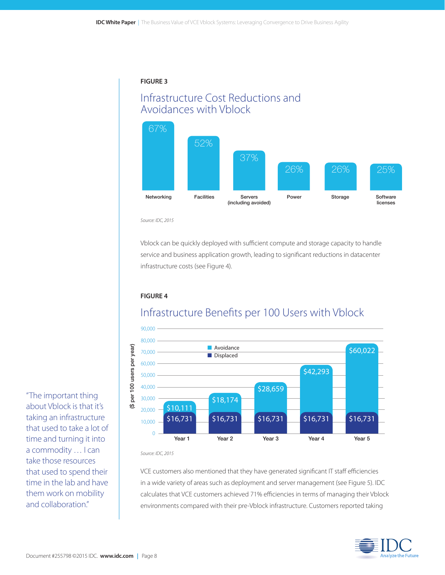### **FIGURE 3**

# Infrastructure Cost Reductions and Avoidances with Vblock



*Source: IDC, 2015*

Vblock can be quickly deployed with sufficient compute and storage capacity to handle service and business application growth, leading to significant reductions in datacenter infrastructure costs (see Figure 4).

### **FIGURE 4**



# Infrastructure Benefits per 100 Users with Vblock

*Source: IDC, 2015*

VCE customers also mentioned that they have generated significant IT staff efficiencies in a wide variety of areas such as deployment and server management (see Figure 5). IDC calculates that VCE customers achieved 71% efficiencies in terms of managing their Vblock environments compared with their pre-Vblock infrastructure. Customers reported taking



"The important thing about Vblock is that it's taking an infrastructure that used to take a lot of time and turning it into a commodity … I can take those resources that used to spend their time in the lab and have them work on mobility and collaboration."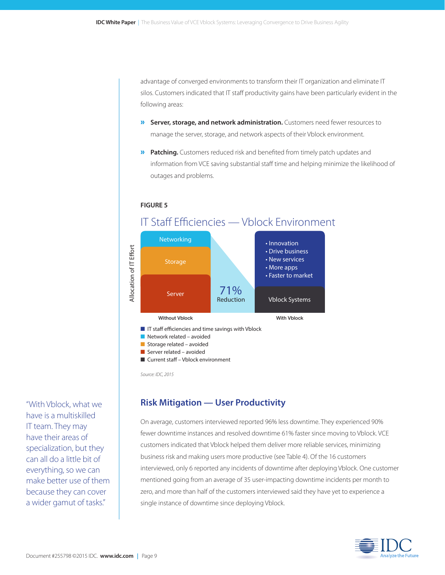advantage of converged environments to transform their IT organization and eliminate IT silos. Customers indicated that IT staff productivity gains have been particularly evident in the following areas:

- » **Server, storage, and network administration.** Customers need fewer resources to manage the server, storage, and network aspects of their Vblock environment.
- **»** Patching. Customers reduced risk and benefited from timely patch updates and information from VCE saving substantial staff time and helping minimize the likelihood of outages and problems.

**FIGURE 5**

## IT Staff Efficiencies — Vblock Environment



Server related – avoided

■ Current staff – Vblock environment

*Source: IDC, 2015*

### **Risk Mitigation — User Productivity**

On average, customers interviewed reported 96% less downtime. They experienced 90% fewer downtime instances and resolved downtime 61% faster since moving to Vblock. VCE customers indicated that Vblock helped them deliver more reliable services, minimizing business risk and making users more productive (see Table 4). Of the 16 customers interviewed, only 6 reported any incidents of downtime after deploying Vblock. One customer mentioned going from an average of 35 user-impacting downtime incidents per month to zero, and more than half of the customers interviewed said they have yet to experience a single instance of downtime since deploying Vblock.



"With Vblock, what we have is a multiskilled IT team. They may have their areas of specialization, but they can all do a little bit of everything, so we can make better use of them because they can cover a wider gamut of tasks."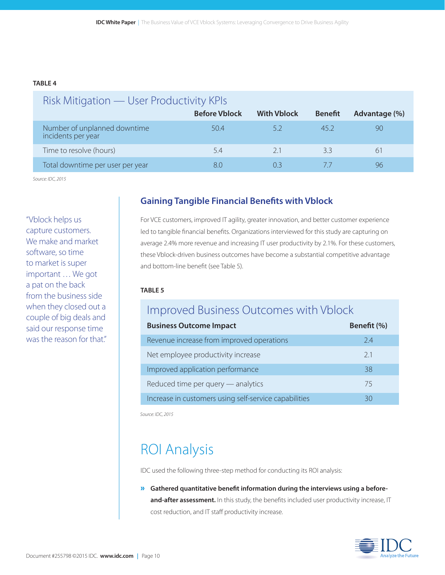#### **TABLE 4**

| Risk Mitigation — User Productivity KPIs           |                      |                    |                |               |
|----------------------------------------------------|----------------------|--------------------|----------------|---------------|
|                                                    | <b>Before Vblock</b> | <b>With Vblock</b> | <b>Benefit</b> | Advantage (%) |
| Number of unplanned downtime<br>incidents per year | 50.4                 | 5.2                | 45.2           | 90            |
| Time to resolve (hours)                            | 5.4                  | 2.1                | 3.3            | 61            |
| Total downtime per user per year                   | 8.0                  | ( ) 3              |                | 96            |

*Source: IDC, 2015*

"Vblock helps us capture customers. We make and market software, so time to market is super important … We got a pat on the back from the business side when they closed out a couple of big deals and said our response time was the reason for that."

## **Gaining Tangible Financial Benefits with Vblock**

For VCE customers, improved IT agility, greater innovation, and better customer experience led to tangible financial benefits. Organizations interviewed for this study are capturing on average 2.4% more revenue and increasing IT user productivity by 2.1%. For these customers, these Vblock-driven business outcomes have become a substantial competitive advantage and bottom-line benefit (see Table 5).

### **TABLE 5**

# Improved Business Outcomes with Vblock

| <b>Business Outcome Impact</b>                        | Benefit (%) |
|-------------------------------------------------------|-------------|
| Revenue increase from improved operations             | 2.4         |
| Net employee productivity increase                    | 2.1         |
| Improved application performance                      | 38          |
| Reduced time per query — analytics                    | 75          |
| Increase in customers using self-service capabilities | 30          |

*Source: IDC, 2015*

# ROI Analysis

IDC used the following three-step method for conducting its ROI analysis:

» **Gathered quantitative benefit information during the interviews using a before**and-after assessment. In this study, the benefits included user productivity increase, IT cost reduction, and IT staff productivity increase.

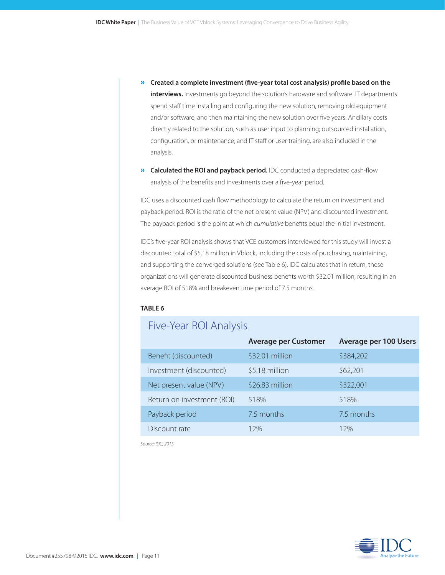- » **Created a complete investment (five-year total cost analysis) profile based on the interviews.** Investments go beyond the solution's hardware and software. IT departments spend staff time installing and configuring the new solution, removing old equipment and/or software, and then maintaining the new solution over five years. Ancillary costs directly related to the solution, such as user input to planning; outsourced installation, configuration, or maintenance; and IT staff or user training, are also included in the analysis.
- » **Calculated the ROI and payback period.** IDC conducted a depreciated cash-flow analysis of the benefits and investments over a five-year period.

IDC uses a discounted cash flow methodology to calculate the return on investment and payback period. ROI is the ratio of the net present value (NPV) and discounted investment. The payback period is the point at which *cumulative* benefits equal the initial investment.

IDC's five-year ROI analysis shows that VCE customers interviewed for this study will invest a discounted total of \$5.18 million in Vblock, including the costs of purchasing, maintaining, and supporting the converged solutions (see Table 6). IDC calculates that in return, these organizations will generate discounted business benefits worth \$32.01 million, resulting in an average ROI of 518% and breakeven time period of 7.5 months.

#### **TABLE 6**

# Five-Year ROI Analysis

|                            | <b>Average per Customer</b> | <b>Average per 100 Users</b> |
|----------------------------|-----------------------------|------------------------------|
| Benefit (discounted)       | \$32.01 million             | \$384,202                    |
| Investment (discounted)    | \$5.18 million              | \$62,201                     |
| Net present value (NPV)    | \$26.83 million             | \$322,001                    |
| Return on investment (ROI) | 518%                        | 518%                         |
| Payback period             | 7.5 months                  | 7.5 months                   |
| Discount rate              | 12%                         | 12%                          |

*Source: IDC, 2015*

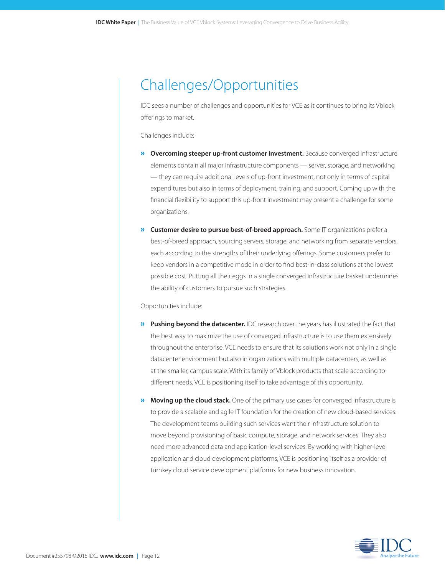# Challenges/Opportunities

IDC sees a number of challenges and opportunities for VCE as it continues to bring its Vblock offerings to market.

Challenges include:

- » **Overcoming steeper up-front customer investment.** Because converged infrastructure elements contain all major infrastructure components — server, storage, and networking — they can require additional levels of up-front investment, not only in terms of capital expenditures but also in terms of deployment, training, and support. Coming up with the financial flexibility to support this up-front investment may present a challenge for some organizations.
- » **Customer desire to pursue best-of-breed approach.** Some IT organizations prefer a best-of-breed approach, sourcing servers, storage, and networking from separate vendors, each according to the strengths of their underlying offerings. Some customers prefer to keep vendors in a competitive mode in order to find best-in-class solutions at the lowest possible cost. Putting all their eggs in a single converged infrastructure basket undermines the ability of customers to pursue such strategies.

Opportunities include:

- » **Pushing beyond the datacenter.** IDC research over the years has illustrated the fact that the best way to maximize the use of converged infrastructure is to use them extensively throughout the enterprise. VCE needs to ensure that its solutions work not only in a single datacenter environment but also in organizations with multiple datacenters, as well as at the smaller, campus scale. With its family of Vblock products that scale according to different needs, VCE is positioning itself to take advantage of this opportunity.
- » **Moving up the cloud stack.** One of the primary use cases for converged infrastructure is to provide a scalable and agile IT foundation for the creation of new cloud-based services. The development teams building such services want their infrastructure solution to move beyond provisioning of basic compute, storage, and network services. They also need more advanced data and application-level services. By working with higher-level application and cloud development platforms, VCE is positioning itself as a provider of turnkey cloud service development platforms for new business innovation.

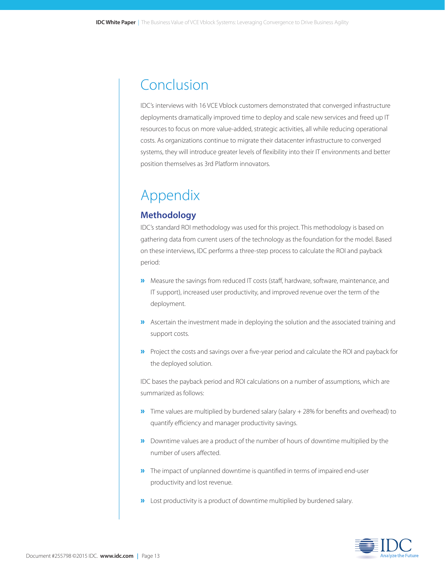# Conclusion

IDC's interviews with 16 VCE Vblock customers demonstrated that converged infrastructure deployments dramatically improved time to deploy and scale new services and freed up IT resources to focus on more value-added, strategic activities, all while reducing operational costs. As organizations continue to migrate their datacenter infrastructure to converged systems, they will introduce greater levels of flexibility into their IT environments and better position themselves as 3rd Platform innovators.

# Appendix

### **Methodology**

IDC's standard ROI methodology was used for this project. This methodology is based on gathering data from current users of the technology as the foundation for the model. Based on these interviews, IDC performs a three-step process to calculate the ROI and payback period:

- »Measure the savings from reduced IT costs (staff, hardware, software, maintenance, and IT support), increased user productivity, and improved revenue over the term of the deployment.
- »Ascertain the investment made in deploying the solution and the associated training and support costs.
- »Project the costs and savings over a five-year period and calculate the ROI and payback for the deployed solution.

IDC bases the payback period and ROI calculations on a number of assumptions, which are summarized as follows:

- »Time values are multiplied by burdened salary (salary + 28% for benefits and overhead) to quantify efficiency and manager productivity savings.
- »Downtime values are a product of the number of hours of downtime multiplied by the number of users affected.
- »The impact of unplanned downtime is quantified in terms of impaired end-user productivity and lost revenue.
- »Lost productivity is a product of downtime multiplied by burdened salary.

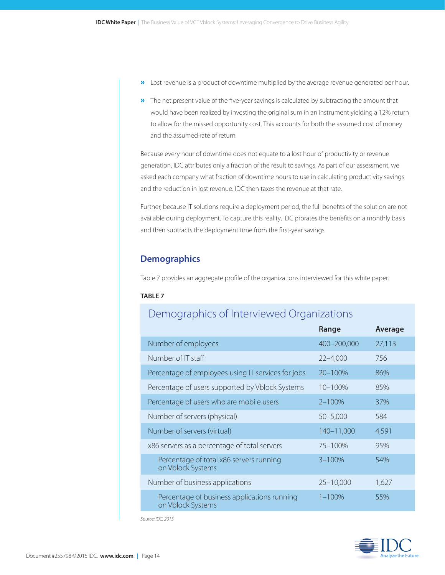- »Lost revenue is a product of downtime multiplied by the average revenue generated per hour.
- »The net present value of the five-year savings is calculated by subtracting the amount that would have been realized by investing the original sum in an instrument yielding a 12% return to allow for the missed opportunity cost. This accounts for both the assumed cost of money and the assumed rate of return.

Because every hour of downtime does not equate to a lost hour of productivity or revenue generation, IDC attributes only a fraction of the result to savings. As part of our assessment, we asked each company what fraction of downtime hours to use in calculating productivity savings and the reduction in lost revenue. IDC then taxes the revenue at that rate.

Further, because IT solutions require a deployment period, the full benefits of the solution are not available during deployment. To capture this reality, IDC prorates the benefits on a monthly basis and then subtracts the deployment time from the first-year savings.

### **Demographics**

Table 7 provides an aggregate profile of the organizations interviewed for this white paper.

### **TABLE 7**

# Demographics of Interviewed Organizations

|                                                                  | Range         | Average |
|------------------------------------------------------------------|---------------|---------|
| Number of employees                                              | 400-200,000   | 27,113  |
| Number of IT staff                                               | $22 - 4,000$  | 756     |
| Percentage of employees using IT services for jobs               | 20-100%       | 86%     |
| Percentage of users supported by Vblock Systems                  | $10 - 100\%$  | 85%     |
| Percentage of users who are mobile users                         | $2 - 100%$    | 37%     |
| Number of servers (physical)                                     | $50 - 5,000$  | 584     |
| Number of servers (virtual)                                      | 140-11,000    | 4,591   |
| x86 servers as a percentage of total servers                     | $75 - 100\%$  | 95%     |
| Percentage of total x86 servers running<br>on Vblock Systems     | $3 - 100%$    | 54%     |
| Number of business applications                                  | $25 - 10,000$ | 1,627   |
| Percentage of business applications running<br>on Vblock Systems | $1 - 100%$    | 55%     |

*Source: IDC, 2015*